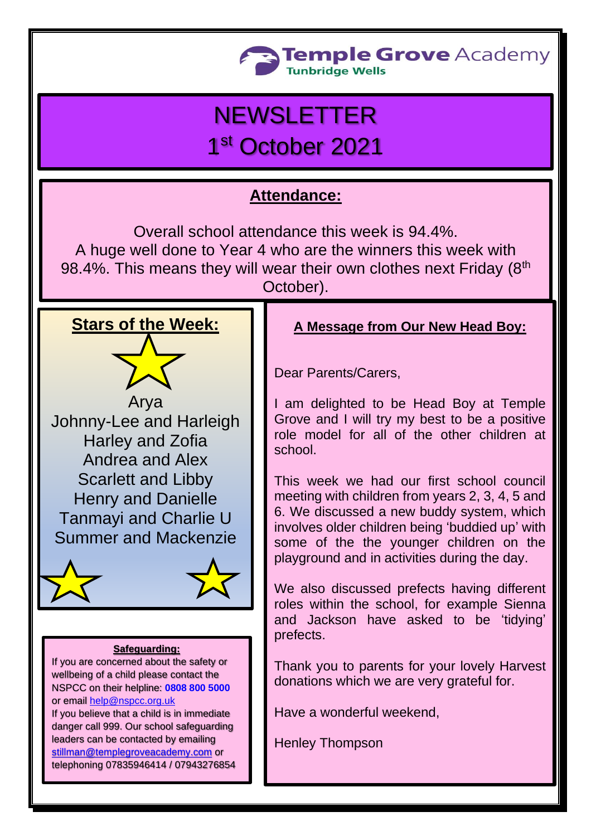

# **NEWSLETTER** 1st October 2021

# **Attendance:**

Overall school attendance this week is 94.4%. A huge well done to Year 4 who are the winners this week with 98.4%. This means they will wear their own clothes next Friday (8<sup>th</sup> October).

# **Stars of the Week:**

Arya Johnny-Lee and Harleigh Harley and Zofia Andrea and Alex Scarlett and Libby Henry and Danielle Tanmayi and Charlie U Summer and Mackenzie



#### **Safeguarding:**

If you are concerned about the safety or wellbeing of a child please contact the NSPCC on their helpline: **[0808 800 5000](tel:08088005000)** or email [help@nspcc.org.uk](mailto:help@nspcc.org.uk) If you believe that a child is in immediate danger call 999. Our school safeguarding

leaders can be contacted by emailing [stillman@templegroveacademy.com](mailto:stillman@templegroveacademy.com) or telephoning 07835946414 / 07943276854

## **A Message from Our New Head Boy:**

Dear Parents/Carers,

I am delighted to be Head Boy at Temple Grove and I will try my best to be a positive role model for all of the other children at school.

This week we had our first school council meeting with children from years 2, 3, 4, 5 and 6. We discussed a new buddy system, which involves older children being 'buddied up' with some of the the younger children on the playground and in activities during the day.

We also discussed prefects having different roles within the school, for example Sienna and Jackson have asked to be 'tidying' prefects.

Thank you to parents for your lovely Harvest donations which we are very grateful for.

Have a wonderful weekend,

Henley Thompson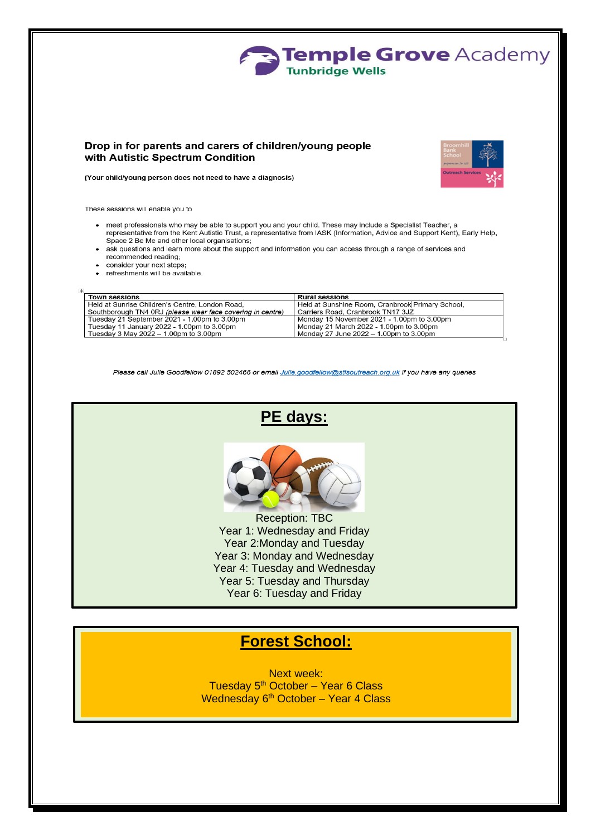

#### Drop in for parents and carers of children/young people with Autistic Spectrum Condition



(Your child/young person does not need to have a diagnosis)

These sessions will enable you to

- meet professionals who may be able to support you and your child. These may include a Specialist Teacher, a representative from the Kent Autistic Trust, a representative from IASK (Information, Advice and Support Kent), Early Help, Space 2 Be Me and other local organisations;
- ask questions and learn more about the support and information you can access through a range of services and recommended reading;
- consider your next steps;
- refreshments will be available.

| <b>Town sessions</b>                                       | <b>Rural sessions</b>                            |
|------------------------------------------------------------|--------------------------------------------------|
| Held at Sunrise Children's Centre, London Road,            | Held at Sunshine Room, Cranbrook Primary School, |
| Southborough TN4 0RJ (please wear face covering in centre) | Carriers Road, Cranbrook TN17 3JZ                |
| Tuesday 21 September 2021 - 1.00pm to 3.00pm               | Monday 15 November 2021 - 1.00pm to 3.00pm       |
| Tuesday 11 January 2022 - 1.00pm to 3.00pm                 | Monday 21 March 2022 - 1.00pm to 3.00pm          |
| Tuesday 3 May 2022 $-$ 1.00pm to 3.00pm                    | Monday 27 June 2022 – 1.00pm to 3.00pm           |

Please call Julie Goodfellow 01892 502466 or email Julie.goodfellow@stlsoutreach.org.uk if you have any queries



## **Forest School:**

**Next week:** Tuesday 5<sup>th</sup> October - Year 6 Class Wednesday 6th October - Year 4 Class